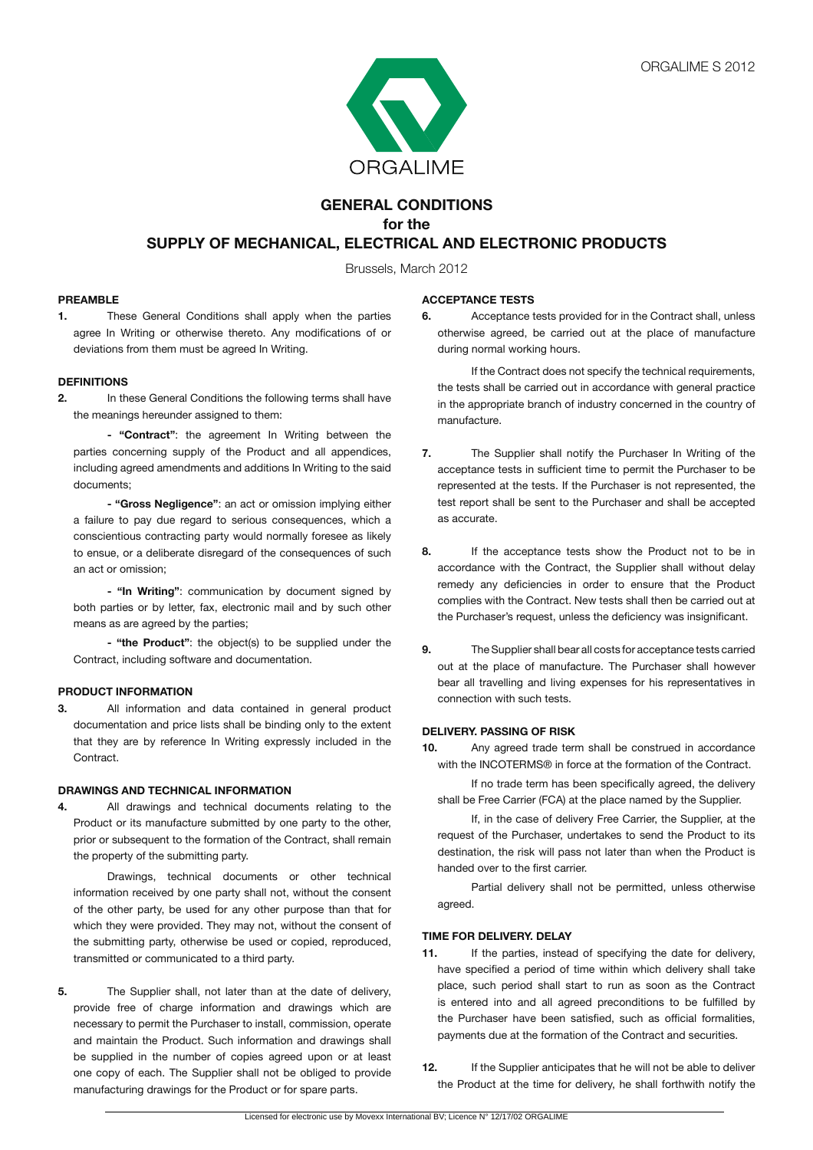

# **GENERAL CONDITIONS for the SUPPLY OF MECHANICAL, ELECTRICAL AND ELECTRONIC PRODUCTS**

Brussels, March 2012

## **PREAMBLE**

**1.** These General Conditions shall apply when the parties agree In Writing or otherwise thereto. Any modifications of or deviations from them must be agreed In Writing.

## **DEFINITIONS**

**2.** In these General Conditions the following terms shall have the meanings hereunder assigned to them:

**- "Contract"**: the agreement In Writing between the parties concerning supply of the Product and all appendices, including agreed amendments and additions In Writing to the said documents;

**- "Gross Negligence"**: an act or omission implying either a failure to pay due regard to serious consequences, which a conscientious contracting party would normally foresee as likely to ensue, or a deliberate disregard of the consequences of such an act or omission;

 **- "In Writing"**: communication by document signed by both parties or by letter, fax, electronic mail and by such other means as are agreed by the parties;

**- "the Product"**: the object(s) to be supplied under the Contract, including software and documentation.

## **PRODUCT INFORMATION**

**3.** All information and data contained in general product documentation and price lists shall be binding only to the extent that they are by reference In Writing expressly included in the Contract.

## **DRAWINGS AND TECHNICAL INFORMATION**

**4.** All drawings and technical documents relating to the Product or its manufacture submitted by one party to the other, prior or subsequent to the formation of the Contract, shall remain the property of the submitting party.

 Drawings, technical documents or other technical information received by one party shall not, without the consent of the other party, be used for any other purpose than that for which they were provided. They may not, without the consent of the submitting party, otherwise be used or copied, reproduced, transmitted or communicated to a third party.

**5.** The Supplier shall, not later than at the date of delivery, provide free of charge information and drawings which are necessary to permit the Purchaser to install, commission, operate and maintain the Product. Such information and drawings shall be supplied in the number of copies agreed upon or at least one copy of each. The Supplier shall not be obliged to provide manufacturing drawings for the Product or for spare parts.

## **ACCEPTANCE TESTS**

**6.** Acceptance tests provided for in the Contract shall, unless otherwise agreed, be carried out at the place of manufacture during normal working hours.

 If the Contract does not specify the technical requirements, the tests shall be carried out in accordance with general practice in the appropriate branch of industry concerned in the country of manufacture.

- **7.** The Supplier shall notify the Purchaser In Writing of the acceptance tests in sufficient time to permit the Purchaser to be represented at the tests. If the Purchaser is not represented, the test report shall be sent to the Purchaser and shall be accepted as accurate.
- **8.** If the acceptance tests show the Product not to be in accordance with the Contract, the Supplier shall without delay remedy any deficiencies in order to ensure that the Product complies with the Contract. New tests shall then be carried out at the Purchaser's request, unless the deficiency was insignificant.
- **9.** The Supplier shall bear all costs for acceptance tests carried out at the place of manufacture. The Purchaser shall however bear all travelling and living expenses for his representatives in connection with such tests.

#### **DELIVERY. PASSING OF RISK**

**10.** Any agreed trade term shall be construed in accordance with the INCOTERMS® in force at the formation of the Contract.

 If no trade term has been specifically agreed, the delivery shall be Free Carrier (FCA) at the place named by the Supplier.

 If, in the case of delivery Free Carrier, the Supplier, at the request of the Purchaser, undertakes to send the Product to its destination, the risk will pass not later than when the Product is handed over to the first carrier.

 Partial delivery shall not be permitted, unless otherwise agreed.

## **TIME FOR DELIVERY. DELAY**

- **11.** If the parties, instead of specifying the date for delivery, have specified a period of time within which delivery shall take place, such period shall start to run as soon as the Contract is entered into and all agreed preconditions to be fulfilled by the Purchaser have been satisfied, such as official formalities, payments due at the formation of the Contract and securities.
- **12.** If the Supplier anticipates that he will not be able to deliver the Product at the time for delivery, he shall forthwith notify the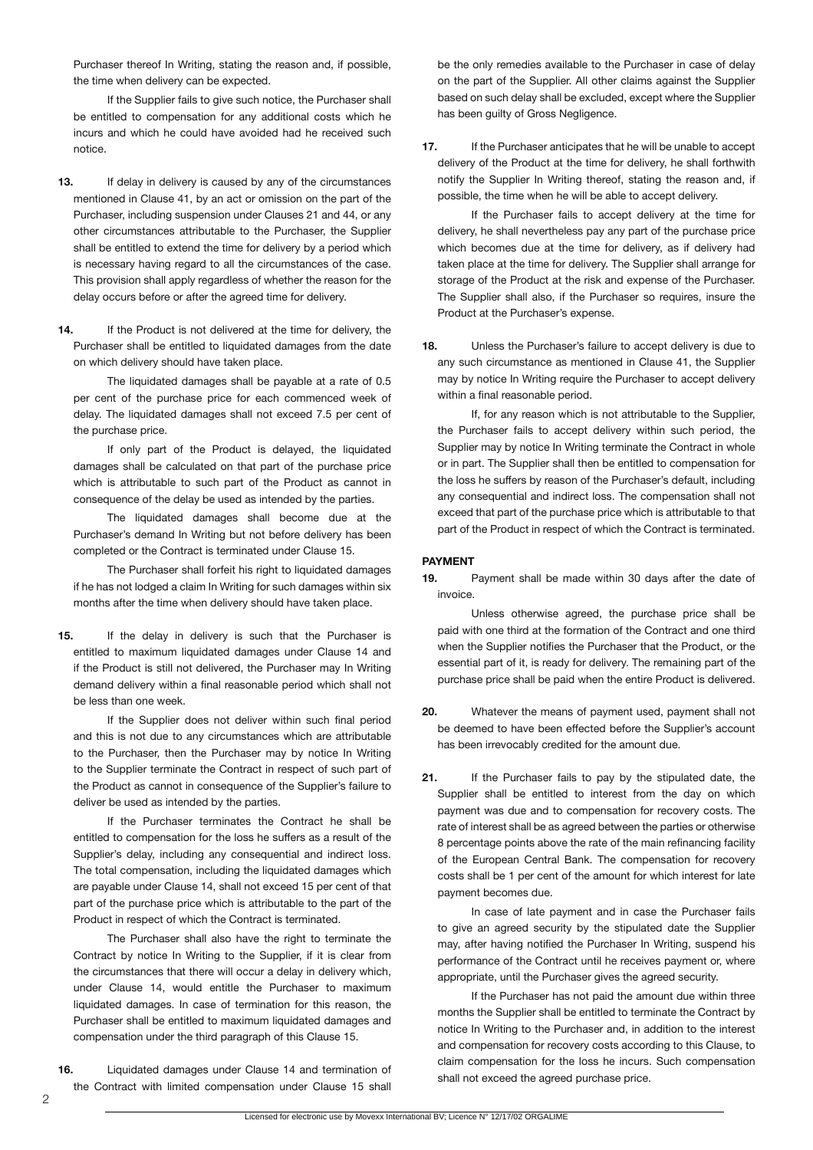Purchaser thereof In Writing, stating the reason and, if possible, the time when delivery can be expected.

 If the Supplier fails to give such notice, the Purchaser shall be entitled to compensation for any additional costs which he incurs and which he could have avoided had he received such notice.

- **13.** If delay in delivery is caused by any of the circumstances mentioned in Clause 41, by an act or omission on the part of the Purchaser, including suspension under Clauses 21 and 44, or any other circumstances attributable to the Purchaser, the Supplier shall be entitled to extend the time for delivery by a period which is necessary having regard to all the circumstances of the case. This provision shall apply regardless of whether the reason for the delay occurs before or after the agreed time for delivery.
- 14. If the Product is not delivered at the time for delivery, the Purchaser shall be entitled to liquidated damages from the date on which delivery should have taken place.

 The liquidated damages shall be payable at a rate of 0.5 per cent of the purchase price for each commenced week of delay. The liquidated damages shall not exceed 7.5 per cent of the purchase price.

 If only part of the Product is delayed, the liquidated damages shall be calculated on that part of the purchase price which is attributable to such part of the Product as cannot in consequence of the delay be used as intended by the parties.

 The liquidated damages shall become due at the Purchaser's demand In Writing but not before delivery has been completed or the Contract is terminated under Clause 15.

 The Purchaser shall forfeit his right to liquidated damages if he has not lodged a claim In Writing for such damages within six months after the time when delivery should have taken place.

**15.** If the delay in delivery is such that the Purchaser is entitled to maximum liquidated damages under Clause 14 and if the Product is still not delivered, the Purchaser may In Writing demand delivery within a final reasonable period which shall not be less than one week.

 If the Supplier does not deliver within such final period and this is not due to any circumstances which are attributable to the Purchaser, then the Purchaser may by notice In Writing to the Supplier terminate the Contract in respect of such part of the Product as cannot in consequence of the Supplier's failure to deliver be used as intended by the parties.

 If the Purchaser terminates the Contract he shall be entitled to compensation for the loss he suffers as a result of the Supplier's delay, including any consequential and indirect loss. The total compensation, including the liquidated damages which are payable under Clause 14, shall not exceed 15 per cent of that part of the purchase price which is attributable to the part of the Product in respect of which the Contract is terminated.

 The Purchaser shall also have the right to terminate the Contract by notice In Writing to the Supplier, if it is clear from the circumstances that there will occur a delay in delivery which, under Clause 14, would entitle the Purchaser to maximum liquidated damages. In case of termination for this reason, the Purchaser shall be entitled to maximum liquidated damages and compensation under the third paragraph of this Clause 15.

**16.** Liquidated damages under Clause 14 and termination of the Contract with limited compensation under Clause 15 shall

be the only remedies available to the Purchaser in case of delay on the part of the Supplier. All other claims against the Supplier based on such delay shall be excluded, except where the Supplier has been guilty of Gross Negligence.

**17.** If the Purchaser anticipates that he will be unable to accept delivery of the Product at the time for delivery, he shall forthwith notify the Supplier In Writing thereof, stating the reason and, if possible, the time when he will be able to accept delivery.

 If the Purchaser fails to accept delivery at the time for delivery, he shall nevertheless pay any part of the purchase price which becomes due at the time for delivery, as if delivery had taken place at the time for delivery. The Supplier shall arrange for storage of the Product at the risk and expense of the Purchaser. The Supplier shall also, if the Purchaser so requires, insure the Product at the Purchaser's expense.

**18.** Unless the Purchaser's failure to accept delivery is due to any such circumstance as mentioned in Clause 41, the Supplier may by notice In Writing require the Purchaser to accept delivery within a final reasonable period.

 If, for any reason which is not attributable to the Supplier, the Purchaser fails to accept delivery within such period, the Supplier may by notice In Writing terminate the Contract in whole or in part. The Supplier shall then be entitled to compensation for the loss he suffers by reason of the Purchaser's default, including any consequential and indirect loss. The compensation shall not exceed that part of the purchase price which is attributable to that part of the Product in respect of which the Contract is terminated.

## **PAYMENT**

**19.** Payment shall be made within 30 days after the date of invoice.

 Unless otherwise agreed, the purchase price shall be paid with one third at the formation of the Contract and one third when the Supplier notifies the Purchaser that the Product, or the essential part of it, is ready for delivery. The remaining part of the purchase price shall be paid when the entire Product is delivered.

- **20.** Whatever the means of payment used, payment shall not be deemed to have been effected before the Supplier's account has been irrevocably credited for the amount due.
- **21.** If the Purchaser fails to pay by the stipulated date, the Supplier shall be entitled to interest from the day on which payment was due and to compensation for recovery costs. The rate of interest shall be as agreed between the parties or otherwise 8 percentage points above the rate of the main refinancing facility of the European Central Bank. The compensation for recovery costs shall be 1 per cent of the amount for which interest for late payment becomes due.

 In case of late payment and in case the Purchaser fails to give an agreed security by the stipulated date the Supplier may, after having notified the Purchaser In Writing, suspend his performance of the Contract until he receives payment or, where appropriate, until the Purchaser gives the agreed security.

 If the Purchaser has not paid the amount due within three months the Supplier shall be entitled to terminate the Contract by notice In Writing to the Purchaser and, in addition to the interest and compensation for recovery costs according to this Clause, to claim compensation for the loss he incurs. Such compensation shall not exceed the agreed purchase price.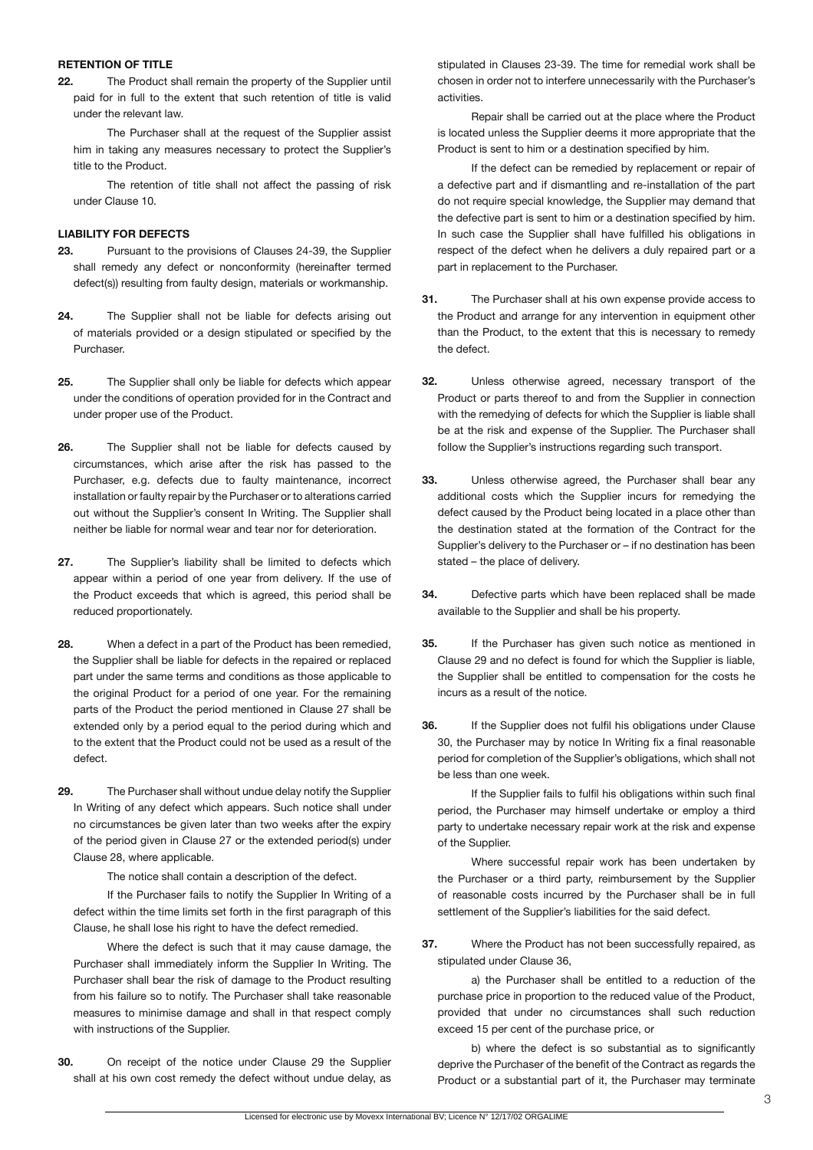#### **RETENTION OF TITLE**

**22.** The Product shall remain the property of the Supplier until paid for in full to the extent that such retention of title is valid under the relevant law.

 The Purchaser shall at the request of the Supplier assist him in taking any measures necessary to protect the Supplier's title to the Product.

 The retention of title shall not affect the passing of risk under Clause 10.

## **LIABILITY FOR DEFECTS**

- **23.** Pursuant to the provisions of Clauses 24-39, the Supplier shall remedy any defect or nonconformity (hereinafter termed defect(s)) resulting from faulty design, materials or workmanship.
- **24.** The Supplier shall not be liable for defects arising out of materials provided or a design stipulated or specified by the Purchaser.
- **25.** The Supplier shall only be liable for defects which appear under the conditions of operation provided for in the Contract and under proper use of the Product.
- **26.** The Supplier shall not be liable for defects caused by circumstances, which arise after the risk has passed to the Purchaser, e.g. defects due to faulty maintenance, incorrect installation or faulty repair by the Purchaser or to alterations carried out without the Supplier's consent In Writing. The Supplier shall neither be liable for normal wear and tear nor for deterioration.
- **27.** The Supplier's liability shall be limited to defects which appear within a period of one year from delivery. If the use of the Product exceeds that which is agreed, this period shall be reduced proportionately.
- **28.** When a defect in a part of the Product has been remedied, the Supplier shall be liable for defects in the repaired or replaced part under the same terms and conditions as those applicable to the original Product for a period of one year. For the remaining parts of the Product the period mentioned in Clause 27 shall be extended only by a period equal to the period during which and to the extent that the Product could not be used as a result of the defect.
- **29.** The Purchaser shall without undue delay notify the Supplier In Writing of any defect which appears. Such notice shall under no circumstances be given later than two weeks after the expiry of the period given in Clause 27 or the extended period(s) under Clause 28, where applicable.

 The notice shall contain a description of the defect.

 If the Purchaser fails to notify the Supplier In Writing of a defect within the time limits set forth in the first paragraph of this Clause, he shall lose his right to have the defect remedied.

 Where the defect is such that it may cause damage, the Purchaser shall immediately inform the Supplier In Writing. The Purchaser shall bear the risk of damage to the Product resulting from his failure so to notify. The Purchaser shall take reasonable measures to minimise damage and shall in that respect comply with instructions of the Supplier.

**30.** On receipt of the notice under Clause 29 the Supplier shall at his own cost remedy the defect without undue delay, as

stipulated in Clauses 23-39. The time for remedial work shall be chosen in order not to interfere unnecessarily with the Purchaser's activities.

 Repair shall be carried out at the place where the Product is located unless the Supplier deems it more appropriate that the Product is sent to him or a destination specified by him.

 If the defect can be remedied by replacement or repair of a defective part and if dismantling and re-installation of the part do not require special knowledge, the Supplier may demand that the defective part is sent to him or a destination specified by him. In such case the Supplier shall have fulfilled his obligations in respect of the defect when he delivers a duly repaired part or a part in replacement to the Purchaser.

- **31.** The Purchaser shall at his own expense provide access to the Product and arrange for any intervention in equipment other than the Product, to the extent that this is necessary to remedy the defect.
- **32.** Unless otherwise agreed, necessary transport of the Product or parts thereof to and from the Supplier in connection with the remedying of defects for which the Supplier is liable shall be at the risk and expense of the Supplier. The Purchaser shall follow the Supplier's instructions regarding such transport.
- **33.** Unless otherwise agreed, the Purchaser shall bear any additional costs which the Supplier incurs for remedying the defect caused by the Product being located in a place other than the destination stated at the formation of the Contract for the Supplier's delivery to the Purchaser or – if no destination has been stated – the place of delivery.
- **34.** Defective parts which have been replaced shall be made available to the Supplier and shall be his property.
- **35.** If the Purchaser has given such notice as mentioned in Clause 29 and no defect is found for which the Supplier is liable, the Supplier shall be entitled to compensation for the costs he incurs as a result of the notice.
- **36.** If the Supplier does not fulfil his obligations under Clause 30, the Purchaser may by notice In Writing fix a final reasonable period for completion of the Supplier's obligations, which shall not be less than one week.

 If the Supplier fails to fulfil his obligations within such final period, the Purchaser may himself undertake or employ a third party to undertake necessary repair work at the risk and expense of the Supplier.

 Where successful repair work has been undertaken by the Purchaser or a third party, reimbursement by the Supplier of reasonable costs incurred by the Purchaser shall be in full settlement of the Supplier's liabilities for the said defect.

**37.** Where the Product has not been successfully repaired, as stipulated under Clause 36,

 a) the Purchaser shall be entitled to a reduction of the purchase price in proportion to the reduced value of the Product, provided that under no circumstances shall such reduction exceed 15 per cent of the purchase price, or

b) where the defect is so substantial as to significantly deprive the Purchaser of the benefit of the Contract as regards the Product or a substantial part of it, the Purchaser may terminate